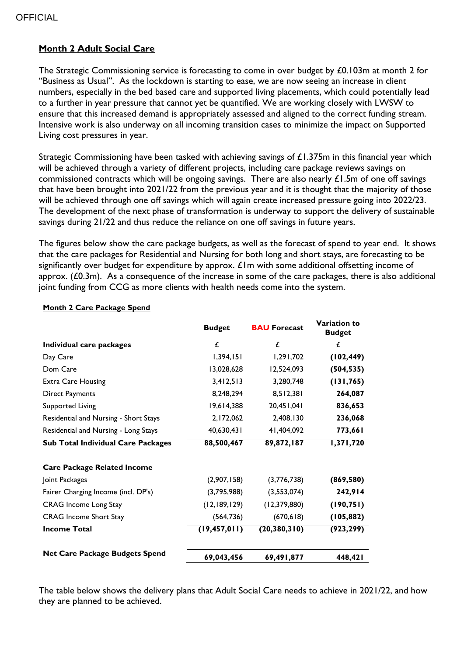## **OFFICIAL**

## **Month 2 Adult Social Care**

The Strategic Commissioning service is forecasting to come in over budget by £0.103m at month 2 for "Business as Usual". As the lockdown is starting to ease, we are now seeing an increase in client numbers, especially in the bed based care and supported living placements, which could potentially lead to a further in year pressure that cannot yet be quantified. We are working closely with LWSW to ensure that this increased demand is appropriately assessed and aligned to the correct funding stream. Intensive work is also underway on all incoming transition cases to minimize the impact on Supported Living cost pressures in year.

Strategic Commissioning have been tasked with achieving savings of £1.375m in this financial year which will be achieved through a variety of different projects, including care package reviews savings on commissioned contracts which will be ongoing savings. There are also nearly  $£1.5$ m of one off savings that have been brought into 2021/22 from the previous year and it is thought that the majority of those will be achieved through one off savings which will again create increased pressure going into 2022/23. The development of the next phase of transformation is underway to support the delivery of sustainable savings during 21/22 and thus reduce the reliance on one off savings in future years.

The figures below show the care package budgets, as well as the forecast of spend to year end. It shows that the care packages for Residential and Nursing for both long and short stays, are forecasting to be significantly over budget for expenditure by approx.  $E$ Im with some additional offsetting income of approx. (£0.3m). As a consequence of the increase in some of the care packages, there is also additional joint funding from CCG as more clients with health needs come into the system.

|                                           | <b>Budget</b>  | <b>BAU Forecast</b> | Variation to<br><b>Budget</b> |
|-------------------------------------------|----------------|---------------------|-------------------------------|
| Individual care packages                  | £              | £                   | £                             |
| Day Care                                  | 1,394,151      | 1,291,702           | (102, 449)                    |
| Dom Care                                  | 13,028,628     | 12,524,093          | (504, 535)                    |
| <b>Extra Care Housing</b>                 | 3,412,513      | 3,280,748           | (131, 765)                    |
| <b>Direct Payments</b>                    | 8,248,294      | 8,512,381           | 264,087                       |
| <b>Supported Living</b>                   | 19,614,388     | 140, 150, 20, 20    | 836,653                       |
| Residential and Nursing - Short Stays     | 2,172,062      | 2,408,130           | 236,068                       |
| Residential and Nursing - Long Stays      | 40,630,431     | 41,404,092          | 773,661                       |
| <b>Sub Total Individual Care Packages</b> | 88,500,467     | 89,872,187          | 1,371,720                     |
| <b>Care Package Related Income</b>        |                |                     |                               |
| Joint Packages                            | (2,907,158)    | (3,776,738)         | (869, 580)                    |
| Fairer Charging Income (incl. DP's)       | (3,795,988)    | (3,553,074)         | 242,914                       |
| <b>CRAG</b> Income Long Stay              | (12, 189, 129) | (12, 379, 880)      | (190, 751)                    |
| <b>CRAG</b> Income Short Stay             | (564, 736)     | (670, 618)          | (105, 882)                    |
| <b>Income Total</b>                       | (19, 457, 011) | (20, 380, 310)      | (923, 299)                    |
| <b>Net Care Package Budgets Spend</b>     | 69,043,456     | 69,491,877          | 448,421                       |

## **Month 2 Care Package Spend**

The table below shows the delivery plans that Adult Social Care needs to achieve in 2021/22, and how they are planned to be achieved.